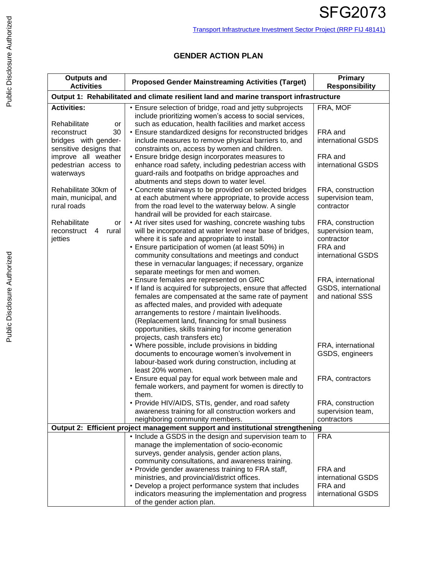## **GENDER ACTION PLAN**

| <b>Outputs and</b><br><b>Activities</b>                                                | <b>Proposed Gender Mainstreaming Activities (Target)</b>                                                                                                                                                                                                                                                                                                                                                      | Primary<br><b>Responsibility</b>                                |  |
|----------------------------------------------------------------------------------------|---------------------------------------------------------------------------------------------------------------------------------------------------------------------------------------------------------------------------------------------------------------------------------------------------------------------------------------------------------------------------------------------------------------|-----------------------------------------------------------------|--|
| Output 1: Rehabilitated and climate resilient land and marine transport infrastructure |                                                                                                                                                                                                                                                                                                                                                                                                               |                                                                 |  |
| <b>Activities:</b><br>Rehabilitate<br>or                                               | • Ensure selection of bridge, road and jetty subprojects<br>include prioritizing women's access to social services,<br>such as education, health facilities and market access                                                                                                                                                                                                                                 | FRA, MOF                                                        |  |
| 30<br>reconstruct<br>bridges with gender-<br>sensitive designs that                    | • Ensure standardized designs for reconstructed bridges<br>include measures to remove physical barriers to, and<br>constraints on, access by women and children.                                                                                                                                                                                                                                              | FRA and<br>international GSDS                                   |  |
| improve all weather<br>pedestrian access to<br>waterways                               | • Ensure bridge design incorporates measures to<br>enhance road safety, including pedestrian access with<br>guard-rails and footpaths on bridge approaches and<br>abutments and steps down to water level.                                                                                                                                                                                                    | FRA and<br>international GSDS                                   |  |
| Rehabilitate 30km of<br>main, municipal, and<br>rural roads                            | • Concrete stairways to be provided on selected bridges<br>at each abutment where appropriate, to provide access<br>from the road level to the waterway below. A single<br>handrail will be provided for each staircase.                                                                                                                                                                                      | FRA, construction<br>supervision team,<br>contractor            |  |
| Rehabilitate<br>or<br>reconstruct<br>rural<br>4<br>jetties                             | • At river sites used for washing, concrete washing tubs<br>will be incorporated at water level near base of bridges,<br>where it is safe and appropriate to install.<br>• Ensure participation of women (at least 50%) in                                                                                                                                                                                    | FRA, construction<br>supervision team,<br>contractor<br>FRA and |  |
|                                                                                        | community consultations and meetings and conduct<br>these in vernacular languages; if necessary, organize<br>separate meetings for men and women.                                                                                                                                                                                                                                                             | international GSDS                                              |  |
|                                                                                        | • Ensure females are represented on GRC<br>• If land is acquired for subprojects, ensure that affected<br>females are compensated at the same rate of payment<br>as affected males, and provided with adequate<br>arrangements to restore / maintain livelihoods.<br>(Replacement land, financing for small business<br>opportunities, skills training for income generation<br>projects, cash transfers etc) | FRA, international<br>GSDS, international<br>and national SSS   |  |
|                                                                                        | • Where possible, include provisions in bidding<br>documents to encourage women's involvement in<br>labour-based work during construction, including at<br>least 20% women.                                                                                                                                                                                                                                   | FRA, international<br>GSDS, engineers                           |  |
|                                                                                        | • Ensure equal pay for equal work between male and<br>female workers, and payment for women is directly to<br>them.                                                                                                                                                                                                                                                                                           | FRA, contractors                                                |  |
|                                                                                        | • Provide HIV/AIDS, STIs, gender, and road safety<br>awareness training for all construction workers and<br>neighboring community members.                                                                                                                                                                                                                                                                    | FRA, construction<br>supervision team,<br>contractors           |  |
|                                                                                        | Output 2: Efficient project management support and institutional strengthening                                                                                                                                                                                                                                                                                                                                |                                                                 |  |
|                                                                                        | . Include a GSDS in the design and supervision team to<br>manage the implementation of socio-economic<br>surveys, gender analysis, gender action plans,<br>community consultations, and awareness training.<br>• Provide gender awareness training to FRA staff,<br>ministries, and provincial/district offices.                                                                                              | <b>FRA</b><br>FRA and<br>international GSDS                     |  |
|                                                                                        | • Develop a project performance system that includes<br>indicators measuring the implementation and progress<br>of the gender action plan.                                                                                                                                                                                                                                                                    | FRA and<br>international GSDS                                   |  |